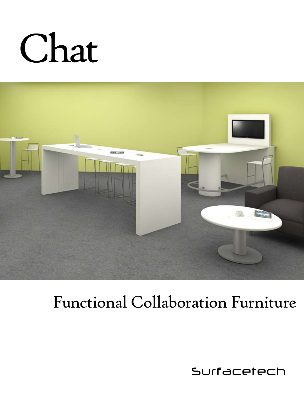# Chat



### Functional Collaboration Furniture

Surfacetech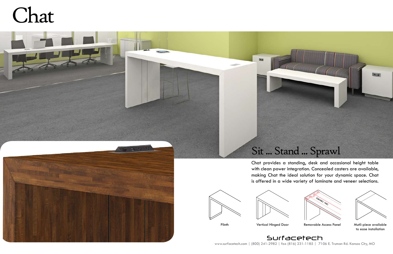



Plinth Vertical Hinged Door Removable Access Panel Mutli-piece available

Chat provides a standing, desk and occasional height table with clean power integration. Concealed casters are available, making Chat the ideal solution for your dynamic space. Chat is offered in a wide variety of laminate and veneer selections.





www.surfacetech.com | (800) 241-2982 | fax (816) 231-1185 | 7106 E. Truman Rd. Kansas City, MO Surfacetech

## Chat





to ease installation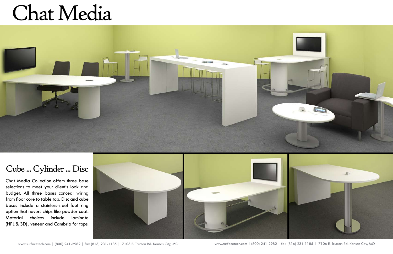## Chat Media



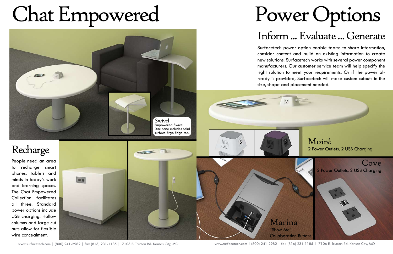## Chat Empowered

### Recharge

People need an area to recharge smart phones, tablets and minds in today's work and learning spaces. The Chat Empowered Collection facilitates all three. Standard power options include USB charging. Hollow columns and large cut outs allow for flexible wire concealment.



### Power Options Inform ... Evaluate ... Generate



Surfacetech power option enable teams to share information, consider content and build on existing information to create new solutions. Surfacetech works with several power component manufacturers. Our customer service team will help specify the right solution to meet your requirements. Or if the power already is provided, Surfacetech will make custom cutouts in the size, shape and placement needed.